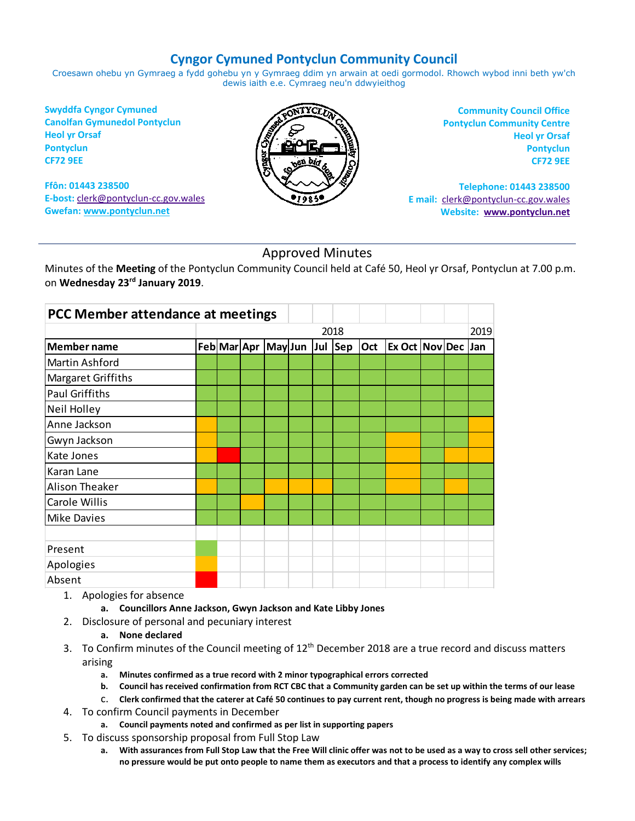# **Cyngor Cymuned Pontyclun Community Council**

Croesawn ohebu yn Gymraeg a fydd gohebu yn y Gymraeg ddim yn arwain at oedi gormodol. Rhowch wybod inni beth yw'ch dewis iaith e.e. Cymraeg neu'n ddwyieithog

**Swyddfa Cyngor Cymuned Canolfan Gymunedol Pontyclun Heol yr Orsaf Pontyclun CF72 9EE**

**Ffôn: 01443 238500 E-bost:** [clerk@pontyclun-cc.gov.wales](mailto:clerk@pontyclun-cc.gov.wales) **Gwefan[: www.pontyclun.net](http://www.pontyclun.net/)** 



**Community Council Office Pontyclun Community Centre Heol yr Orsaf Pontyclun CF72 9EE**

**Telephone: 01443 238500 E mail:** [clerk@pontyclun-cc.gov.wales](mailto:clerk@pontyclun-cc.gov.wales)  **Website: [www.pontyclun.net](http://www.pontyclun.net/)**

# Approved Minutes

Minutes of the **Meeting** of the Pontyclun Community Council held at Café 50, Heol yr Orsaf, Pontyclun at 7.00 p.m. on **Wednesday 23rd January 2019**.

| PCC Member attendance at meetings |  |                             |  |      |     |                           |  |      |
|-----------------------------------|--|-----------------------------|--|------|-----|---------------------------|--|------|
|                                   |  |                             |  | 2018 |     |                           |  | 2019 |
| <b>Member name</b>                |  | Feb Mar Apr May Jun Jul Sep |  |      | Oct | <b>Ex Oct Nov Dec Jan</b> |  |      |
| Martin Ashford                    |  |                             |  |      |     |                           |  |      |
| Margaret Griffiths                |  |                             |  |      |     |                           |  |      |
| Paul Griffiths                    |  |                             |  |      |     |                           |  |      |
| Neil Holley                       |  |                             |  |      |     |                           |  |      |
| Anne Jackson                      |  |                             |  |      |     |                           |  |      |
| Gwyn Jackson                      |  |                             |  |      |     |                           |  |      |
| Kate Jones                        |  |                             |  |      |     |                           |  |      |
| Karan Lane                        |  |                             |  |      |     |                           |  |      |
| Alison Theaker                    |  |                             |  |      |     |                           |  |      |
| Carole Willis                     |  |                             |  |      |     |                           |  |      |
| <b>Mike Davies</b>                |  |                             |  |      |     |                           |  |      |
|                                   |  |                             |  |      |     |                           |  |      |
| Present                           |  |                             |  |      |     |                           |  |      |
| Apologies                         |  |                             |  |      |     |                           |  |      |
| Absent                            |  |                             |  |      |     |                           |  |      |

- 1. Apologies for absence
	- **a. Councillors Anne Jackson, Gwyn Jackson and Kate Libby Jones**
- 2. Disclosure of personal and pecuniary interest

### **a. None declared**

- 3. To Confirm minutes of the Council meeting of  $12<sup>th</sup>$  December 2018 are a true record and discuss matters arising
	- **a. Minutes confirmed as a true record with 2 minor typographical errors corrected**
	- **b. Council has received confirmation from RCT CBC that a Community garden can be set up within the terms of our lease**
	- c. **Clerk confirmed that the caterer at Café 50 continues to pay current rent, though no progress is being made with arrears**
- 4. To confirm Council payments in December
	- **a. Council payments noted and confirmed as per list in supporting papers**
- 5. To discuss sponsorship proposal from Full Stop Law
	- **a. With assurances from Full Stop Law that the Free Will clinic offer was not to be used as a way to cross sell other services; no pressure would be put onto people to name them as executors and that a process to identify any complex wills**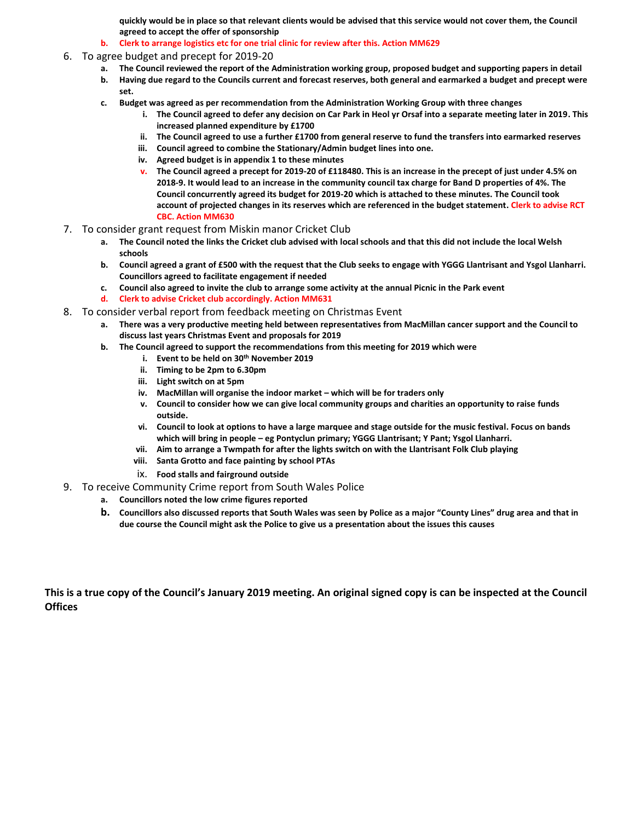**quickly would be in place so that relevant clients would be advised that this service would not cover them, the Council agreed to accept the offer of sponsorship**

- **b. Clerk to arrange logistics etc for one trial clinic for review after this. Action MM629**
- 6. To agree budget and precept for 2019-20
	- **a. The Council reviewed the report of the Administration working group, proposed budget and supporting papers in detail**
	- **b. Having due regard to the Councils current and forecast reserves, both general and earmarked a budget and precept were set.**
	- **c. Budget was agreed as per recommendation from the Administration Working Group with three changes**
		- **i. The Council agreed to defer any decision on Car Park in Heol yr Orsaf into a separate meeting later in 2019. This increased planned expenditure by £1700**
		- **ii. The Council agreed to use a further £1700 from general reserve to fund the transfers into earmarked reserves**
		- **iii. Council agreed to combine the Stationary/Admin budget lines into one.**
		- **iv. Agreed budget is in appendix 1 to these minutes**
		- **v. The Council agreed a precept for 2019-20 of £118480. This is an increase in the precept of just under 4.5% on 2018-9. It would lead to an increase in the community council tax charge for Band D properties of 4%. The Council concurrently agreed its budget for 2019-20 which is attached to these minutes. The Council took account of projected changes in its reserves which are referenced in the budget statement. Clerk to advise RCT CBC. Action MM630**
- 7. To consider grant request from Miskin manor Cricket Club
	- **a. The Council noted the links the Cricket club advised with local schools and that this did not include the local Welsh schools**
	- **b. Council agreed a grant of £500 with the request that the Club seeks to engage with YGGG Llantrisant and Ysgol Llanharri. Councillors agreed to facilitate engagement if needed**
	- **c. Council also agreed to invite the club to arrange some activity at the annual Picnic in the Park event**
	- **d. Clerk to advise Cricket club accordingly. Action MM631**
- 8. To consider verbal report from feedback meeting on Christmas Event
	- **a. There was a very productive meeting held between representatives from MacMillan cancer support and the Council to discuss last years Christmas Event and proposals for 2019**
	- **b. The Council agreed to support the recommendations from this meeting for 2019 which were**
		- **i. Event to be held on 30th November 2019**
		- **ii. Timing to be 2pm to 6.30pm**
		- **iii. Light switch on at 5pm**
		- **iv.** MacMillan will organise the indoor market which will be for traders only
		- **v. Council to consider how we can give local community groups and charities an opportunity to raise funds outside.**
		- **vi. Council to look at options to have a large marquee and stage outside for the music festival. Focus on bands which will bring in people – eg Pontyclun primary; YGGG Llantrisant; Y Pant; Ysgol Llanharri.**
		- **vii. Aim to arrange a Twmpath for after the lights switch on with the Llantrisant Folk Club playing**
		- **viii. Santa Grotto and face painting by school PTAs**
		- ix. **Food stalls and fairground outside**
- 9. To receive Community Crime report from South Wales Police
	- **a. Councillors noted the low crime figures reported**
	- **b. Councillors also discussed reports that South Wales was seen by Police as a major "County Lines" drug area and that in due course the Council might ask the Police to give us a presentation about the issues this causes**

**This is a true copy of the Council's January 2019 meeting. An original signed copy is can be inspected at the Council Offices**